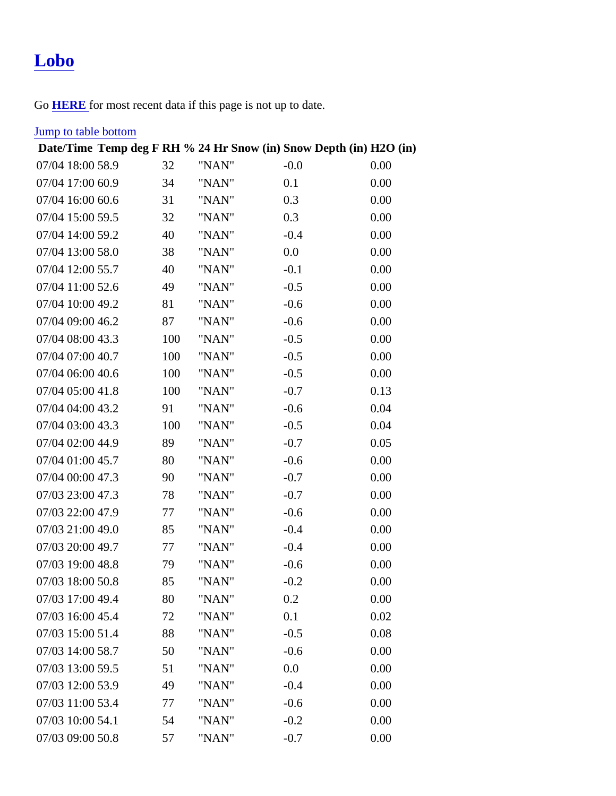## [Lobo](https://www.mtavalanche.com/weather/stations/lobo)

Go **HERE** for most recent data if this page is not up to date.

## **[Jump to table botto](#page-1-0)m**

| Date/Time Temp deg FRH % 24 Hr Snow (in) Snow Depth (in) H2O (in) |     |       |        |      |
|-------------------------------------------------------------------|-----|-------|--------|------|
| 07/04 18:0058.9                                                   | 32  | "NAN" | $-0.0$ | 0.00 |
| 07/04 17:0060.9                                                   | 34  | "NAN" | 0.1    | 0.00 |
| 07/04 16:0060.6                                                   | 31  | "NAN" | 0.3    | 0.00 |
| 07/04 15:0059.5                                                   | 32  | "NAN" | 0.3    | 0.00 |
| 07/04 14:0059.2                                                   | 40  | "NAN" | $-0.4$ | 0.00 |
| 07/04 13:0058.0                                                   | 38  | "NAN" | 0.0    | 0.00 |
| 07/04 12:0055.7                                                   | 40  | "NAN" | $-0.1$ | 0.00 |
| 07/04 11:0052.6                                                   | 49  | "NAN" | $-0.5$ | 0.00 |
| 07/04 10:0049.2                                                   | 81  | "NAN" | $-0.6$ | 0.00 |
| 07/04 09:0046.2                                                   | 87  | "NAN" | $-0.6$ | 0.00 |
| 07/04 08:0043.3                                                   | 100 | "NAN" | $-0.5$ | 0.00 |
| 07/04 07:0040.7                                                   | 100 | "NAN" | $-0.5$ | 0.00 |
| 07/04 06:0040.6                                                   | 100 | "NAN" | $-0.5$ | 0.00 |
| 07/04 05:0041.8                                                   | 100 | "NAN" | $-0.7$ | 0.13 |
| 07/04 04:0043.2                                                   | 91  | "NAN" | $-0.6$ | 0.04 |
| 07/04 03:0043.3                                                   | 100 | "NAN" | $-0.5$ | 0.04 |
| 07/04 02:0044.9                                                   | 89  | "NAN" | $-0.7$ | 0.05 |
| 07/04 01:0045.7                                                   | 80  | "NAN" | $-0.6$ | 0.00 |
| 07/04 00:0047.3                                                   | 90  | "NAN" | $-0.7$ | 0.00 |
| 07/03 23:0047.3                                                   | 78  | "NAN" | $-0.7$ | 0.00 |
| 07/03 22:0047.9                                                   | 77  | "NAN" | $-0.6$ | 0.00 |
| 07/03 21:0049.0                                                   | 85  | "NAN" | $-0.4$ | 0.00 |
| 07/03 20:0049.7                                                   | 77  | "NAN" | $-0.4$ | 0.00 |
| 07/03 19:0048.8                                                   | 79  | "NAN" | $-0.6$ | 0.00 |
| 07/03 18:0050.8                                                   | 85  | "NAN" | $-0.2$ | 0.00 |
| 07/03 17:0049.4                                                   | 80  | "NAN" | 0.2    | 0.00 |
| 07/03 16:0045.4                                                   | 72  | "NAN" | 0.1    | 0.02 |
| 07/03 15:0051.4                                                   | 88  | "NAN" | $-0.5$ | 0.08 |
| 07/03 14:0058.7                                                   | 50  | "NAN" | $-0.6$ | 0.00 |
| 07/03 13:0059.5                                                   | 51  | "NAN" | 0.0    | 0.00 |
| 07/03 12:0053.9                                                   | 49  | "NAN" | $-0.4$ | 0.00 |
| 07/03 11:0053.4                                                   | 77  | "NAN" | $-0.6$ | 0.00 |
| 07/03 10:0054.1                                                   | 54  | "NAN" | $-0.2$ | 0.00 |
| 07/03 09:0050.8                                                   | 57  | "NAN" | $-0.7$ | 0.00 |